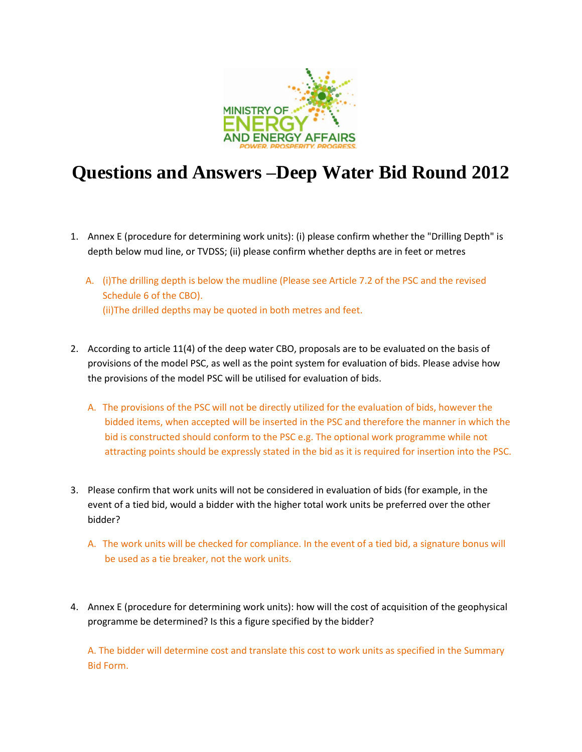

# **Questions and Answers –Deep Water Bid Round 2012**

- 1. Annex E (procedure for determining work units): (i) please confirm whether the "Drilling Depth" is depth below mud line, or TVDSS; (ii) please confirm whether depths are in feet or metres
	- A. (i)The drilling depth is below the mudline (Please see Article 7.2 of the PSC and the revised Schedule 6 of the CBO). (ii)The drilled depths may be quoted in both metres and feet.
- 2. According to article 11(4) of the deep water CBO, proposals are to be evaluated on the basis of provisions of the model PSC, as well as the point system for evaluation of bids. Please advise how the provisions of the model PSC will be utilised for evaluation of bids.
	- A. The provisions of the PSC will not be directly utilized for the evaluation of bids, however the bidded items, when accepted will be inserted in the PSC and therefore the manner in which the bid is constructed should conform to the PSC e.g. The optional work programme while not attracting points should be expressly stated in the bid as it is required for insertion into the PSC.
- 3. Please confirm that work units will not be considered in evaluation of bids (for example, in the event of a tied bid, would a bidder with the higher total work units be preferred over the other bidder?
	- A. The work units will be checked for compliance. In the event of a tied bid, a signature bonus will be used as a tie breaker, not the work units.
- 4. Annex E (procedure for determining work units): how will the cost of acquisition of the geophysical programme be determined? Is this a figure specified by the bidder?

A. The bidder will determine cost and translate this cost to work units as specified in the Summary Bid Form.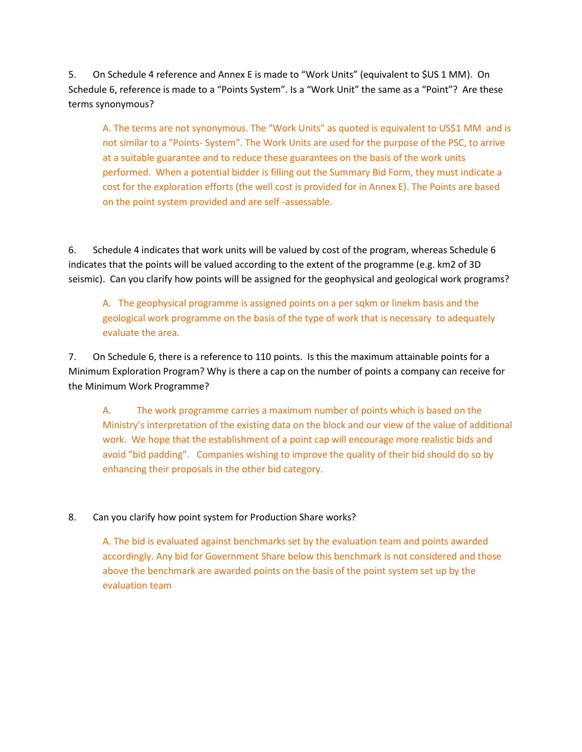5. On Schedule 4 reference and Annex E is made to "Work Units" (equivalent to \$US 1 MM). On Schedule 6, reference is made to a "Points System". Is a "Work Unit" the same as a "Point"? Are these terms synonymous?

A. The terms are not synonymous. The "Work Units" as quoted is equivalent to US\$1 MM and is not similar to a "Points- System". The Work Units are used for the purpose of the PSC, to arrive at a suitable guarantee and to reduce these guarantees on the basis of the work units performed. When a potential bidder is filling out the Summary Bid Form, they must indicate a cost for the exploration efforts (the well cost is provided for in Annex E). The Points are based on the point system provided and are self -assessable.

6. Schedule 4 indicates that work units will be valued by cost of the program, whereas Schedule 6 indicates that the points will be valued according to the extent of the programme (e.g. km2 of 3D seismic). Can you clarify how points will be assigned for the geophysical and geological work programs?

A. The geophysical programme is assigned points on a per sqkm or linekm basis and the geological work programme on the basis of the type of work that is necessary to adequately evaluate the area.

7. On Schedule 6, there is a reference to 110 points. Is this the maximum attainable points for a Minimum Exploration Program? Why is there a cap on the number of points a company can receive for the Minimum Work Programme?

A. The work programme carries a maximum number of points which is based on the Ministry's interpretation of the existing data on the block and our view of the value of additional work. We hope that the establishment of a point cap will encourage more realistic bids and avoid "bid padding". Companies wishing to improve the quality of their bid should do so by enhancing their proposals in the other bid category.

## 8. Can you clarify how point system for Production Share works?

A. The bid is evaluated against benchmarks set by the evaluation team and points awarded accordingly. Any bid for Government Share below this benchmark is not considered and those above the benchmark are awarded points on the basis of the point system set up by the evaluation team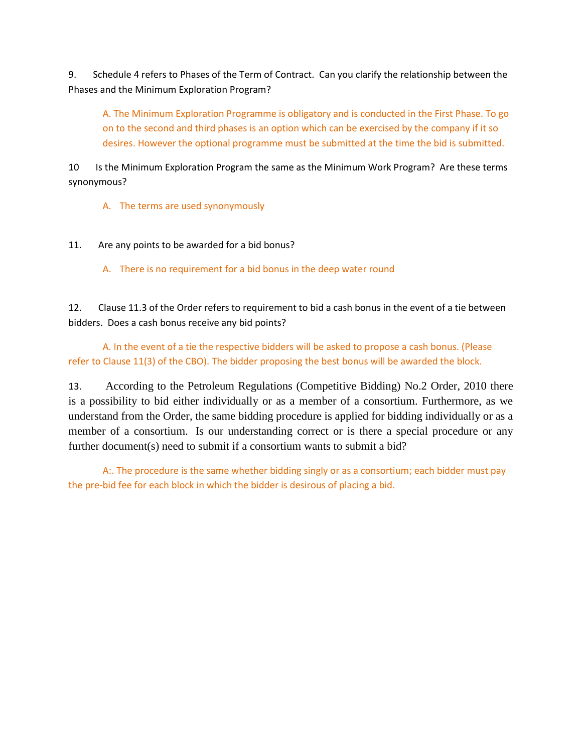9. Schedule 4 refers to Phases of the Term of Contract. Can you clarify the relationship between the Phases and the Minimum Exploration Program?

A. The Minimum Exploration Programme is obligatory and is conducted in the First Phase. To go on to the second and third phases is an option which can be exercised by the company if it so desires. However the optional programme must be submitted at the time the bid is submitted.

10 Is the Minimum Exploration Program the same as the Minimum Work Program? Are these terms synonymous?

A. The terms are used synonymously

11. Are any points to be awarded for a bid bonus?

A. There is no requirement for a bid bonus in the deep water round

12. Clause 11.3 of the Order refers to requirement to bid a cash bonus in the event of a tie between bidders. Does a cash bonus receive any bid points?

A. In the event of a tie the respective bidders will be asked to propose a cash bonus. (Please refer to Clause 11(3) of the CBO). The bidder proposing the best bonus will be awarded the block.

13. According to the Petroleum Regulations (Competitive Bidding) No.2 Order, 2010 there is a possibility to bid either individually or as a member of a consortium. Furthermore, as we understand from the Order, the same bidding procedure is applied for bidding individually or as a member of a consortium. Is our understanding correct or is there a special procedure or any further document(s) need to submit if a consortium wants to submit a bid?

A:. The procedure is the same whether bidding singly or as a consortium; each bidder must pay the pre-bid fee for each block in which the bidder is desirous of placing a bid.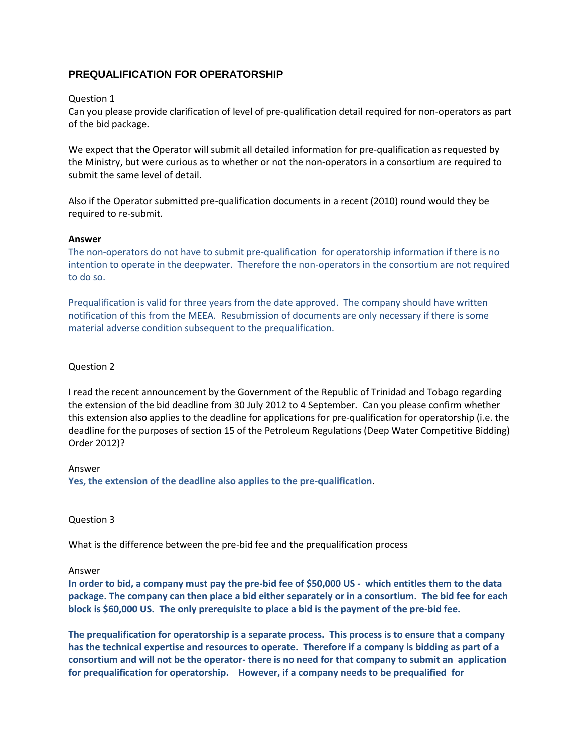## **PREQUALIFICATION FOR OPERATORSHIP**

## Question 1

Can you please provide clarification of level of pre-qualification detail required for non-operators as part of the bid package.

We expect that the Operator will submit all detailed information for pre-qualification as requested by the Ministry, but were curious as to whether or not the non-operators in a consortium are required to submit the same level of detail.

Also if the Operator submitted pre-qualification documents in a recent (2010) round would they be required to re-submit.

## **Answer**

The non-operators do not have to submit pre-qualification for operatorship information if there is no intention to operate in the deepwater. Therefore the non-operators in the consortium are not required to do so.

Prequalification is valid for three years from the date approved. The company should have written notification of this from the MEEA. Resubmission of documents are only necessary if there is some material adverse condition subsequent to the prequalification.

## Question 2

I read the recent announcement by the Government of the Republic of Trinidad and Tobago regarding the extension of the bid deadline from 30 July 2012 to 4 September. Can you please confirm whether this extension also applies to the deadline for applications for pre-qualification for operatorship (i.e. the deadline for the purposes of section 15 of the Petroleum Regulations (Deep Water Competitive Bidding) Order 2012)?

Answer

**Yes, the extension of the deadline also applies to the pre-qualification**.

Question 3

What is the difference between the pre-bid fee and the prequalification process

#### Answer

**In order to bid, a company must pay the pre-bid fee of \$50,000 US - which entitles them to the data package. The company can then place a bid either separately or in a consortium. The bid fee for each block is \$60,000 US. The only prerequisite to place a bid is the payment of the pre-bid fee.**

**The prequalification for operatorship is a separate process. This process is to ensure that a company has the technical expertise and resources to operate. Therefore if a company is bidding as part of a consortium and will not be the operator- there is no need for that company to submit an application for prequalification for operatorship. However, if a company needs to be prequalified for**